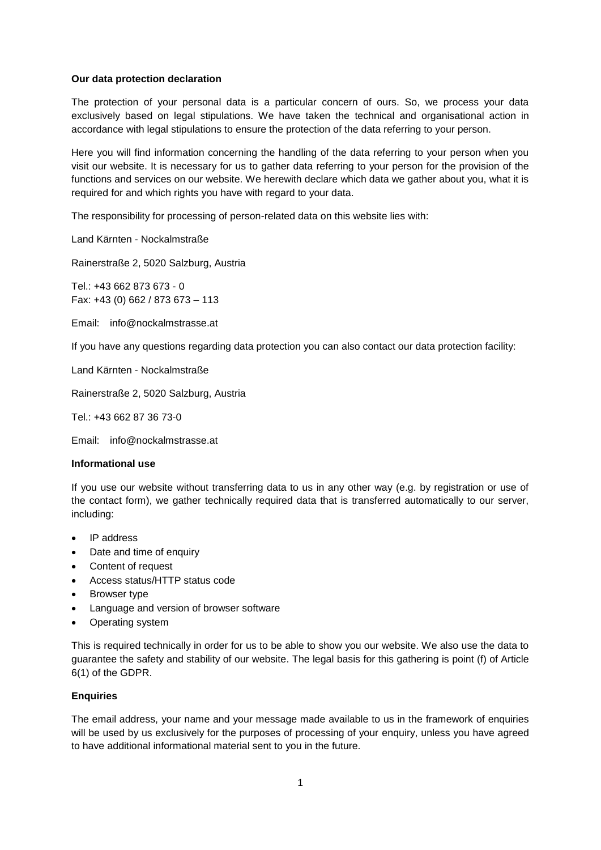### **Our data protection declaration**

The protection of your personal data is a particular concern of ours. So, we process your data exclusively based on legal stipulations. We have taken the technical and organisational action in accordance with legal stipulations to ensure the protection of the data referring to your person.

Here you will find information concerning the handling of the data referring to your person when you visit our website. It is necessary for us to gather data referring to your person for the provision of the functions and services on our website. We herewith declare which data we gather about you, what it is required for and which rights you have with regard to your data.

The responsibility for processing of person-related data on this website lies with:

Land Kärnten - Nockalmstraße

Rainerstraße 2, 5020 Salzburg, Austria

Tel.: +43 662 873 673 - 0 Fax: +43 (0) 662 / 873 673 – 113

Email: info@nockalmstrasse.at

If you have any questions regarding data protection you can also contact our data protection facility:

Land Kärnten - Nockalmstraße

Rainerstraße 2, 5020 Salzburg, Austria

Tel.: +43 662 87 36 73-0

Email: info@nockalmstrasse.at

### **Informational use**

If you use our website without transferring data to us in any other way (e.g. by registration or use of the contact form), we gather technically required data that is transferred automatically to our server, including:

- IP address
- Date and time of enquiry
- Content of request
- Access status/HTTP status code
- Browser type
- Language and version of browser software
- Operating system

This is required technically in order for us to be able to show you our website. We also use the data to guarantee the safety and stability of our website. The legal basis for this gathering is point (f) of Article 6(1) of the GDPR.

#### **Enquiries**

The email address, your name and your message made available to us in the framework of enquiries will be used by us exclusively for the purposes of processing of your enquiry, unless you have agreed to have additional informational material sent to you in the future.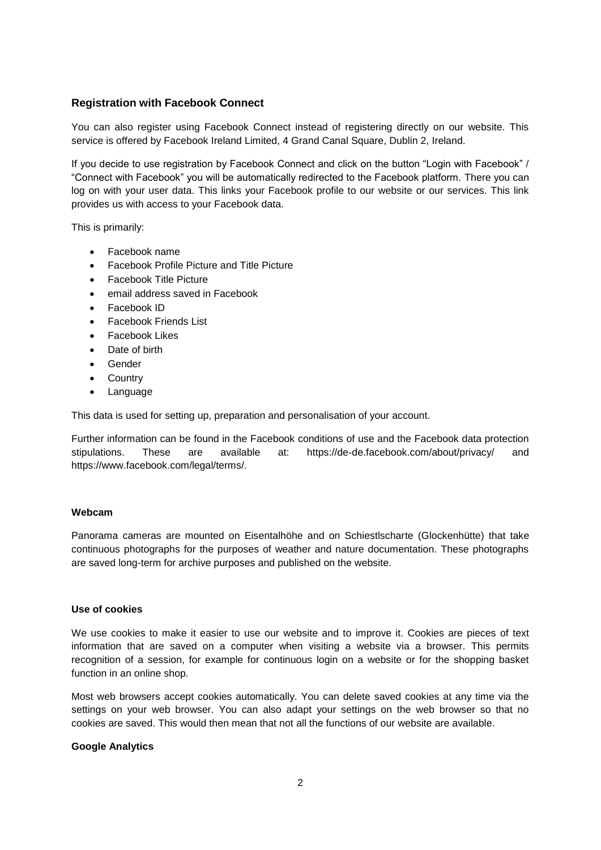# **Registration with Facebook Connect**

You can also register using Facebook Connect instead of registering directly on our website. This service is offered by Facebook Ireland Limited, 4 Grand Canal Square, Dublin 2, Ireland.

If you decide to use registration by Facebook Connect and click on the button "Login with Facebook" / "Connect with Facebook" you will be automatically redirected to the Facebook platform. There you can log on with your user data. This links your Facebook profile to our website or our services. This link provides us with access to your Facebook data.

This is primarily:

- Facebook name
- Facebook Profile Picture and Title Picture
- Facebook Title Picture
- email address saved in Facebook
- Facebook ID
- Facebook Friends List
- Facebook Likes
- Date of birth
- Gender
- Country
- Language

This data is used for setting up, preparation and personalisation of your account.

Further information can be found in the Facebook conditions of use and the Facebook data protection stipulations. These are available at: https://de-de.facebook.com/about/privacy/ and https://www.facebook.com/legal/terms/.

#### **Webcam**

Panorama cameras are mounted on Eisentalhöhe and on Schiestlscharte (Glockenhütte) that take continuous photographs for the purposes of weather and nature documentation. These photographs are saved long-term for archive purposes and published on the website.

#### **Use of cookies**

We use cookies to make it easier to use our website and to improve it. Cookies are pieces of text information that are saved on a computer when visiting a website via a browser. This permits recognition of a session, for example for continuous login on a website or for the shopping basket function in an online shop.

Most web browsers accept cookies automatically. You can delete saved cookies at any time via the settings on your web browser. You can also adapt your settings on the web browser so that no cookies are saved. This would then mean that not all the functions of our website are available.

### **Google Analytics**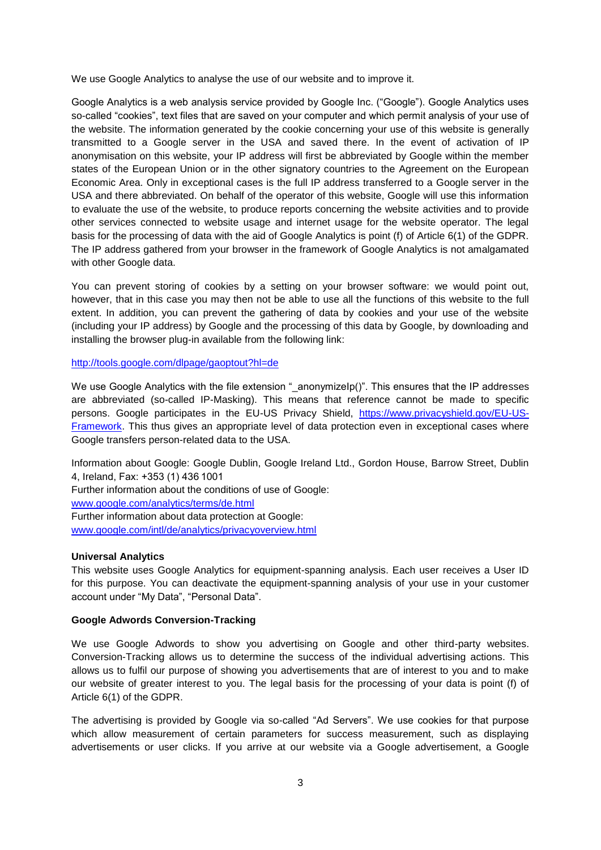We use Google Analytics to analyse the use of our website and to improve it.

Google Analytics is a web analysis service provided by Google Inc. ("Google"). Google Analytics uses so-called "cookies", text files that are saved on your computer and which permit analysis of your use of the website. The information generated by the cookie concerning your use of this website is generally transmitted to a Google server in the USA and saved there. In the event of activation of IP anonymisation on this website, your IP address will first be abbreviated by Google within the member states of the European Union or in the other signatory countries to the Agreement on the European Economic Area. Only in exceptional cases is the full IP address transferred to a Google server in the USA and there abbreviated. On behalf of the operator of this website, Google will use this information to evaluate the use of the website, to produce reports concerning the website activities and to provide other services connected to website usage and internet usage for the website operator. The legal basis for the processing of data with the aid of Google Analytics is point (f) of Article 6(1) of the GDPR. The IP address gathered from your browser in the framework of Google Analytics is not amalgamated with other Google data.

You can prevent storing of cookies by a setting on your browser software: we would point out, however, that in this case you may then not be able to use all the functions of this website to the full extent. In addition, you can prevent the gathering of data by cookies and your use of the website (including your IP address) by Google and the processing of this data by Google, by downloading and installing the browser plug-in available from the following link:

### <http://tools.google.com/dlpage/gaoptout?hl=de>

We use Google Analytics with the file extension "\_anonymizeIp()". This ensures that the IP addresses are abbreviated (so-called IP-Masking). This means that reference cannot be made to specific persons. Google participates in the EU-US Privacy Shield, [https://www.privacyshield.gov/EU-US-](https://www.privacyshield.gov/EU-US-Framework)[Framework.](https://www.privacyshield.gov/EU-US-Framework) This thus gives an appropriate level of data protection even in exceptional cases where Google transfers person-related data to the USA.

Information about Google: Google Dublin, Google Ireland Ltd., Gordon House, Barrow Street, Dublin 4, Ireland, Fax: +353 (1) 436 1001

Further information about the conditions of use of Google:

[www.google.com/analytics/terms/de.html](http://www.google.com/analytics/terms/de.html)

Further information about data protection at Google:

[www.google.com/intl/de/analytics/privacyoverview.html](http://www.google.com/intl/de/analytics/privacyoverview.html)

## **Universal Analytics**

This website uses Google Analytics for equipment-spanning analysis. Each user receives a User ID for this purpose. You can deactivate the equipment-spanning analysis of your use in your customer account under "My Data", "Personal Data".

## **Google Adwords Conversion-Tracking**

We use Google Adwords to show you advertising on Google and other third-party websites. Conversion-Tracking allows us to determine the success of the individual advertising actions. This allows us to fulfil our purpose of showing you advertisements that are of interest to you and to make our website of greater interest to you. The legal basis for the processing of your data is point (f) of Article 6(1) of the GDPR.

The advertising is provided by Google via so-called "Ad Servers". We use cookies for that purpose which allow measurement of certain parameters for success measurement, such as displaying advertisements or user clicks. If you arrive at our website via a Google advertisement, a Google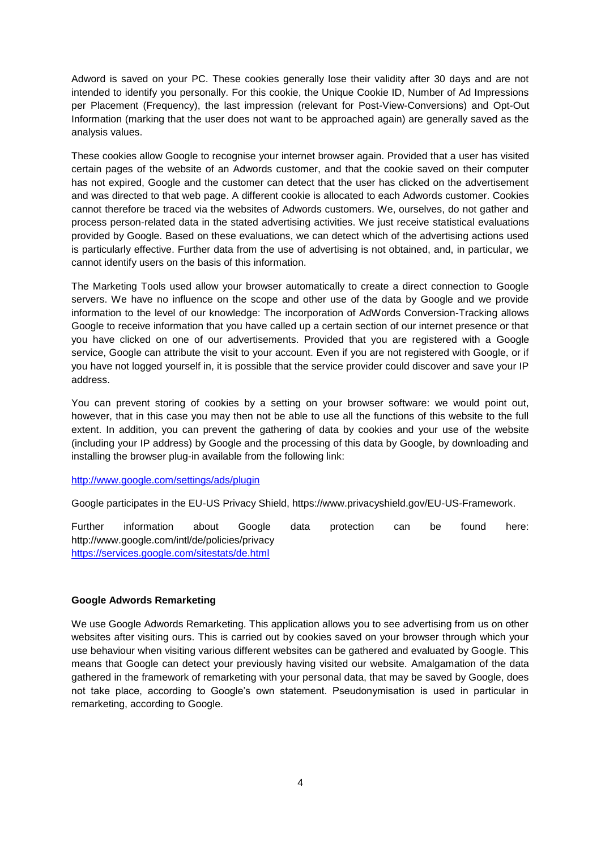Adword is saved on your PC. These cookies generally lose their validity after 30 days and are not intended to identify you personally. For this cookie, the Unique Cookie ID, Number of Ad Impressions per Placement (Frequency), the last impression (relevant for Post-View-Conversions) and Opt-Out Information (marking that the user does not want to be approached again) are generally saved as the analysis values.

These cookies allow Google to recognise your internet browser again. Provided that a user has visited certain pages of the website of an Adwords customer, and that the cookie saved on their computer has not expired, Google and the customer can detect that the user has clicked on the advertisement and was directed to that web page. A different cookie is allocated to each Adwords customer. Cookies cannot therefore be traced via the websites of Adwords customers. We, ourselves, do not gather and process person-related data in the stated advertising activities. We just receive statistical evaluations provided by Google. Based on these evaluations, we can detect which of the advertising actions used is particularly effective. Further data from the use of advertising is not obtained, and, in particular, we cannot identify users on the basis of this information.

The Marketing Tools used allow your browser automatically to create a direct connection to Google servers. We have no influence on the scope and other use of the data by Google and we provide information to the level of our knowledge: The incorporation of AdWords Conversion-Tracking allows Google to receive information that you have called up a certain section of our internet presence or that you have clicked on one of our advertisements. Provided that you are registered with a Google service, Google can attribute the visit to your account. Even if you are not registered with Google, or if you have not logged yourself in, it is possible that the service provider could discover and save your IP address.

You can prevent storing of cookies by a setting on your browser software: we would point out, however, that in this case you may then not be able to use all the functions of this website to the full extent. In addition, you can prevent the gathering of data by cookies and your use of the website (including your IP address) by Google and the processing of this data by Google, by downloading and installing the browser plug-in available from the following link:

#### <http://www.google.com/settings/ads/plugin>

Google participates in the EU-US Privacy Shield, https://www.privacyshield.gov/EU-US-Framework.

Further information about Google data protection can be found here: http://www.google.com/intl/de/policies/privacy <https://services.google.com/sitestats/de.html>

## **Google Adwords Remarketing**

We use Google Adwords Remarketing. This application allows you to see advertising from us on other websites after visiting ours. This is carried out by cookies saved on your browser through which your use behaviour when visiting various different websites can be gathered and evaluated by Google. This means that Google can detect your previously having visited our website. Amalgamation of the data gathered in the framework of remarketing with your personal data, that may be saved by Google, does not take place, according to Google's own statement. Pseudonymisation is used in particular in remarketing, according to Google.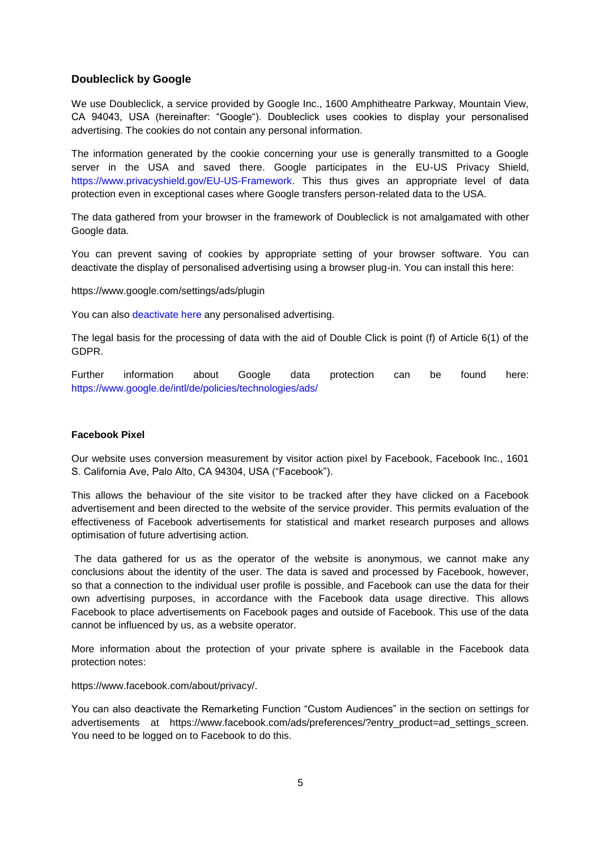# **Doubleclick by Google**

We use Doubleclick, a service provided by Google Inc., 1600 Amphitheatre Parkway, Mountain View, CA 94043, USA (hereinafter: "Google"). Doubleclick uses cookies to display your personalised advertising. The cookies do not contain any personal information.

The information generated by the cookie concerning your use is generally transmitted to a Google server in the USA and saved there. Google participates in the EU-US Privacy Shield, [https://www.privacyshield.gov/EU-US-Framework.](https://www.privacyshield.gov/EU-US-Framework) This thus gives an appropriate level of data protection even in exceptional cases where Google transfers person-related data to the USA.

The data gathered from your browser in the framework of Doubleclick is not amalgamated with other Google data.

You can prevent saving of cookies by appropriate setting of your browser software. You can deactivate the display of personalised advertising using a browser plug-in. You can install this here:

https://www.google.com/settings/ads/plugin

You can also [deactivate here](https://adssettings.google.com/anonymous?sig=ACi0TCgEyuussWcXR-4KYC39TknxD4RsOpq-eSnbcdzPRs58qYsOHvIUFuP3wtZQ-cfRy_u0W-ix0mNs81AWOHNryBicJRcPlRXbSTktWIvA2erhPeKkvcY&hl=de) any personalised advertising.

The legal basis for the processing of data with the aid of Double Click is point (f) of Article 6(1) of the GDPR.

Further information about Google data protection can be found here: <https://www.google.de/intl/de/policies/technologies/ads/>

#### **Facebook Pixel**

Our website uses conversion measurement by visitor action pixel by Facebook, Facebook Inc., 1601 S. California Ave, Palo Alto, CA 94304, USA ("Facebook").

This allows the behaviour of the site visitor to be tracked after they have clicked on a Facebook advertisement and been directed to the website of the service provider. This permits evaluation of the effectiveness of Facebook advertisements for statistical and market research purposes and allows optimisation of future advertising action.

The data gathered for us as the operator of the website is anonymous, we cannot make any conclusions about the identity of the user. The data is saved and processed by Facebook, however, so that a connection to the individual user profile is possible, and Facebook can use the data for their own advertising purposes, in accordance with the Facebook data usage directive. This allows Facebook to place advertisements on Facebook pages and outside of Facebook. This use of the data cannot be influenced by us, as a website operator.

More information about the protection of your private sphere is available in the Facebook data protection notes:

https://www.facebook.com/about/privacy/.

You can also deactivate the Remarketing Function "Custom Audiences" in the section on settings for advertisements at https://www.facebook.com/ads/preferences/?entry\_product=ad\_settings\_screen. You need to be logged on to Facebook to do this.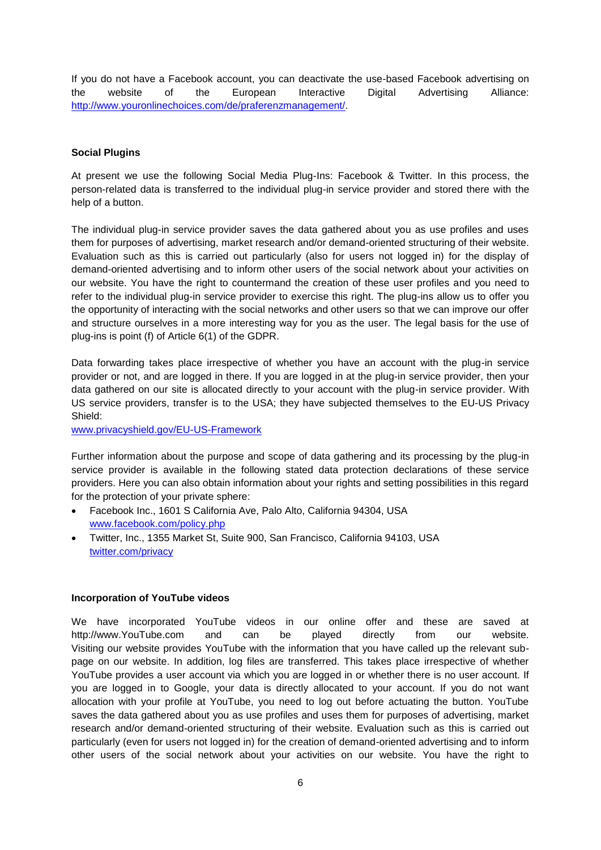If you do not have a Facebook account, you can deactivate the use-based Facebook advertising on the website of the European Interactive Digital Advertising Alliance: [http://www.youronlinechoices.com/de/praferenzmanagement/.](http://www.youronlinechoices.com/de/praferenzmanagement/)

### **Social Plugins**

At present we use the following Social Media Plug-Ins: Facebook & Twitter. In this process, the person-related data is transferred to the individual plug-in service provider and stored there with the help of a button.

The individual plug-in service provider saves the data gathered about you as use profiles and uses them for purposes of advertising, market research and/or demand-oriented structuring of their website. Evaluation such as this is carried out particularly (also for users not logged in) for the display of demand-oriented advertising and to inform other users of the social network about your activities on our website. You have the right to countermand the creation of these user profiles and you need to refer to the individual plug-in service provider to exercise this right. The plug-ins allow us to offer you the opportunity of interacting with the social networks and other users so that we can improve our offer and structure ourselves in a more interesting way for you as the user. The legal basis for the use of plug-ins is point (f) of Article 6(1) of the GDPR.

Data forwarding takes place irrespective of whether you have an account with the plug-in service provider or not, and are logged in there. If you are logged in at the plug-in service provider, then your data gathered on our site is allocated directly to your account with the plug-in service provider. With US service providers, transfer is to the USA; they have subjected themselves to the EU-US Privacy Shield:

[www.privacyshield.gov/EU-US-Framework](http://www.privacyshield.gov/EU-US-Framework)

Further information about the purpose and scope of data gathering and its processing by the plug-in service provider is available in the following stated data protection declarations of these service providers. Here you can also obtain information about your rights and setting possibilities in this regard for the protection of your private sphere:

- Facebook Inc., 1601 S California Ave, Palo Alto, California 94304, USA [www.facebook.com/policy.php](http://www.facebook.com/policy.php)
- Twitter, Inc., 1355 Market St, Suite 900, San Francisco, California 94103, USA [twitter.com/privacy](https://twitter.com/privacy)

#### **Incorporation of YouTube videos**

We have incorporated YouTube videos in our online offer and these are saved at http://www.YouTube.com and can be played directly from our website. Visiting our website provides YouTube with the information that you have called up the relevant subpage on our website. In addition, log files are transferred. This takes place irrespective of whether YouTube provides a user account via which you are logged in or whether there is no user account. If you are logged in to Google, your data is directly allocated to your account. If you do not want allocation with your profile at YouTube, you need to log out before actuating the button. YouTube saves the data gathered about you as use profiles and uses them for purposes of advertising, market research and/or demand-oriented structuring of their website. Evaluation such as this is carried out particularly (even for users not logged in) for the creation of demand-oriented advertising and to inform other users of the social network about your activities on our website. You have the right to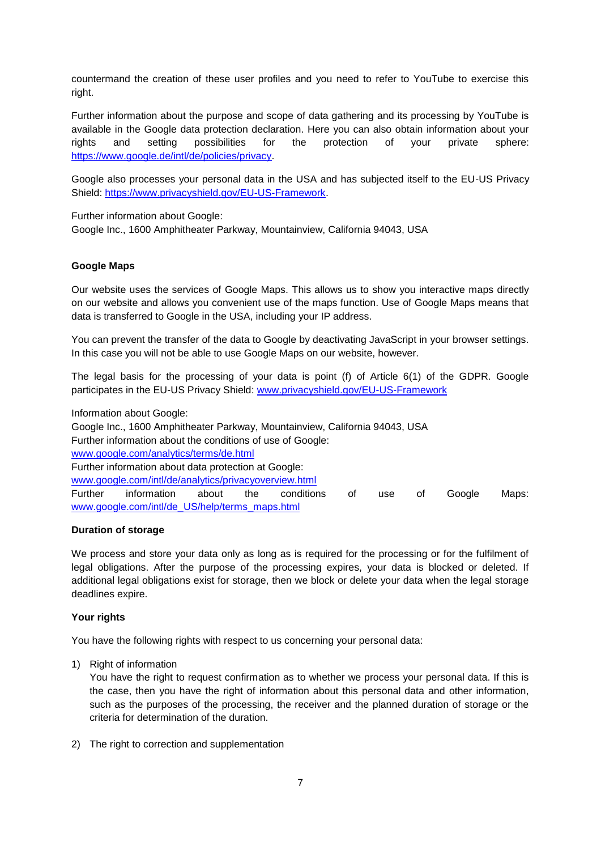countermand the creation of these user profiles and you need to refer to YouTube to exercise this right.

Further information about the purpose and scope of data gathering and its processing by YouTube is available in the Google data protection declaration. Here you can also obtain information about your rights and setting possibilities for the protection of your private sphere: [https://www.google.de/intl/de/policies/privacy.](https://www.google.de/intl/de/policies/privacy)

Google also processes your personal data in the USA and has subjected itself to the EU-US Privacy Shield: [https://www.privacyshield.gov/EU-US-Framework.](https://www.privacyshield.gov/EU-US-Framework)

Further information about Google:

Google Inc., 1600 Amphitheater Parkway, Mountainview, California 94043, USA

## **Google Maps**

Our website uses the services of Google Maps. This allows us to show you interactive maps directly on our website and allows you convenient use of the maps function. Use of Google Maps means that data is transferred to Google in the USA, including your IP address.

You can prevent the transfer of the data to Google by deactivating JavaScript in your browser settings. In this case you will not be able to use Google Maps on our website, however.

The legal basis for the processing of your data is point (f) of Article 6(1) of the GDPR. Google participates in the EU-US Privacy Shield: [www.privacyshield.gov/EU-US-Framework](http://www.privacyshield.gov/EU-US-Framework)

Information about Google: Google Inc., 1600 Amphitheater Parkway, Mountainview, California 94043, USA Further information about the conditions of use of Google: [www.google.com/analytics/terms/de.html](http://www.google.com/analytics/terms/de.html) Further information about data protection at Google: [www.google.com/intl/de/analytics/privacyoverview.html](http://www.google.com/intl/de/analytics/privacyoverview.html) Further information about the conditions of use of Google Maps: [www.google.com/intl/de\\_US/help/terms\\_maps.html](http://www.google.com/intl/de_US/help/terms_maps.html)

#### **Duration of storage**

We process and store your data only as long as is required for the processing or for the fulfilment of legal obligations. After the purpose of the processing expires, your data is blocked or deleted. If additional legal obligations exist for storage, then we block or delete your data when the legal storage deadlines expire.

#### **Your rights**

You have the following rights with respect to us concerning your personal data:

1) Right of information

You have the right to request confirmation as to whether we process your personal data. If this is the case, then you have the right of information about this personal data and other information, such as the purposes of the processing, the receiver and the planned duration of storage or the criteria for determination of the duration.

2) The right to correction and supplementation